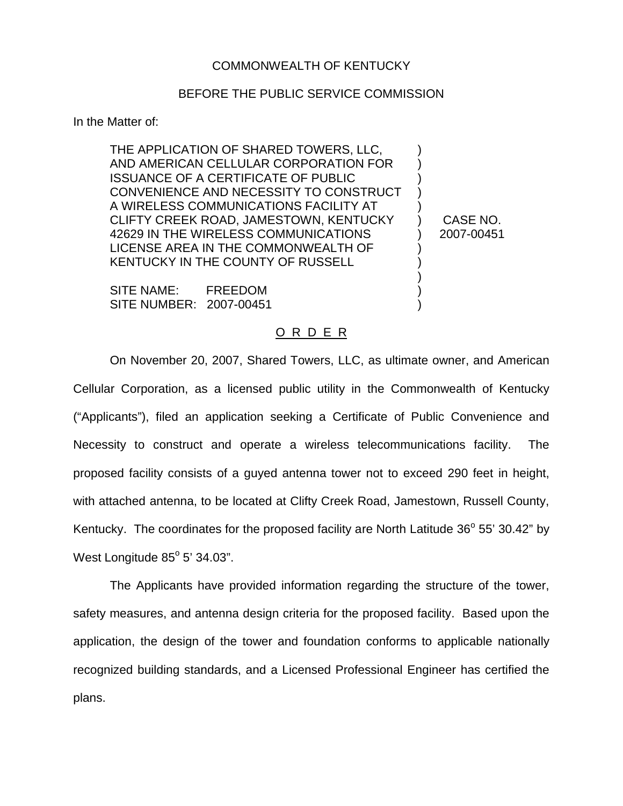## COMMONWEALTH OF KENTUCKY

## BEFORE THE PUBLIC SERVICE COMMISSION

In the Matter of:

THE APPLICATION OF SHARED TOWERS, LLC, AND AMERICAN CELLULAR CORPORATION FOR ISSUANCE OF A CERTIFICATE OF PUBLIC CONVENIENCE AND NECESSITY TO CONSTRUCT A WIRELESS COMMUNICATIONS FACILITY AT CLIFTY CREEK ROAD, JAMESTOWN, KENTUCKY 42629 IN THE WIRELESS COMMUNICATIONS LICENSE AREA IN THE COMMONWEALTH OF KENTUCKY IN THE COUNTY OF RUSSELL ) ) ) ) ) ) ) ) ) )

SITE NAME: FREEDOM SITE NUMBER: 2007-00451 2007-00451

CASE NO.

) )

## O R D E R

On November 20, 2007, Shared Towers, LLC, as ultimate owner, and American Cellular Corporation, as a licensed public utility in the Commonwealth of Kentucky ("Applicants"), filed an application seeking a Certificate of Public Convenience and Necessity to construct and operate a wireless telecommunications facility. The proposed facility consists of a guyed antenna tower not to exceed 290 feet in height, with attached antenna, to be located at Clifty Creek Road, Jamestown, Russell County, Kentucky. The coordinates for the proposed facility are North Latitude  $36^{\circ}$  55' 30.42" by West Longitude  $85^{\circ}$  5' 34.03".

The Applicants have provided information regarding the structure of the tower, safety measures, and antenna design criteria for the proposed facility. Based upon the application, the design of the tower and foundation conforms to applicable nationally recognized building standards, and a Licensed Professional Engineer has certified the plans.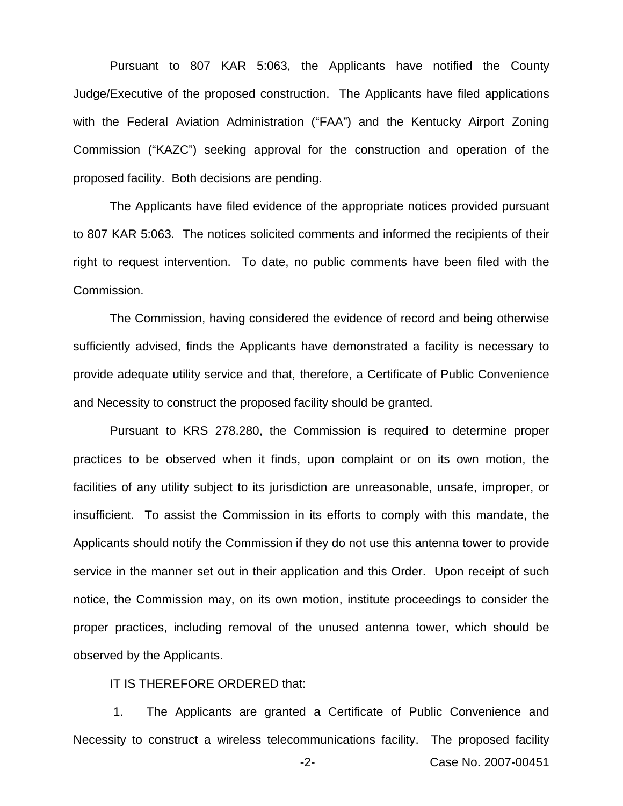Pursuant to 807 KAR 5:063, the Applicants have notified the County Judge/Executive of the proposed construction. The Applicants have filed applications with the Federal Aviation Administration ("FAA") and the Kentucky Airport Zoning Commission ("KAZC") seeking approval for the construction and operation of the proposed facility. Both decisions are pending.

The Applicants have filed evidence of the appropriate notices provided pursuant to 807 KAR 5:063. The notices solicited comments and informed the recipients of their right to request intervention. To date, no public comments have been filed with the Commission.

The Commission, having considered the evidence of record and being otherwise sufficiently advised, finds the Applicants have demonstrated a facility is necessary to provide adequate utility service and that, therefore, a Certificate of Public Convenience and Necessity to construct the proposed facility should be granted.

Pursuant to KRS 278.280, the Commission is required to determine proper practices to be observed when it finds, upon complaint or on its own motion, the facilities of any utility subject to its jurisdiction are unreasonable, unsafe, improper, or insufficient. To assist the Commission in its efforts to comply with this mandate, the Applicants should notify the Commission if they do not use this antenna tower to provide service in the manner set out in their application and this Order. Upon receipt of such notice, the Commission may, on its own motion, institute proceedings to consider the proper practices, including removal of the unused antenna tower, which should be observed by the Applicants.

IT IS THEREFORE ORDERED that:

1. The Applicants are granted a Certificate of Public Convenience and Necessity to construct a wireless telecommunications facility. The proposed facility

-2- Case No. 2007-00451